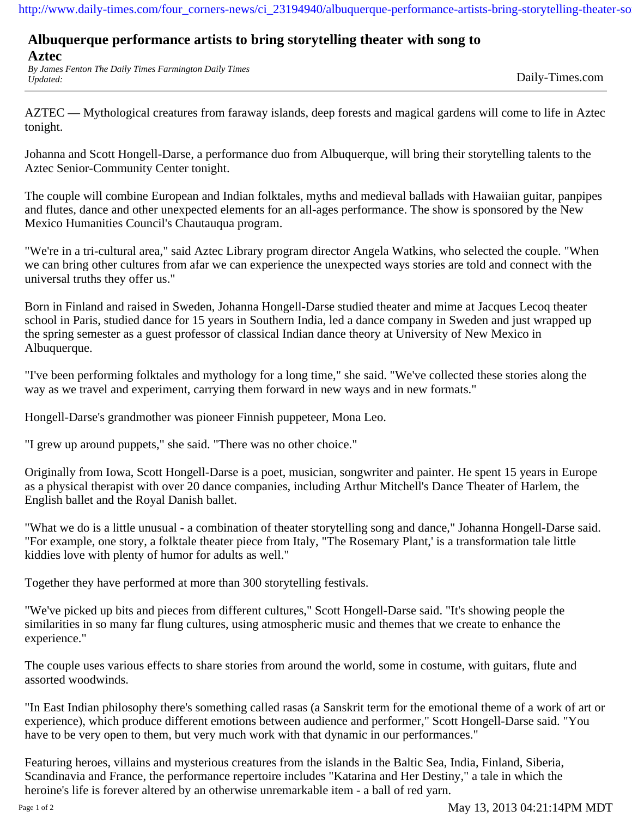http://www.daily-times.com/four\_corners-news/ci\_23194940/albuquerque-performance-artists-bring-storytelling-theater-so

## **Albuquerque performance artists to bring storytelling theater with song to**

**Aztec**

*By James Fenton The Daily Times Farmington Daily Times Updated:* Daily-Times.com

AZTEC — Mythological creatures from faraway islands, deep forests and magical gardens will come to life in Aztec tonight.

Johanna and Scott Hongell-Darse, a performance duo from Albuquerque, will bring their storytelling talents to the Aztec Senior-Community Center tonight.

The couple will combine European and Indian folktales, myths and medieval ballads with Hawaiian guitar, panpipes and flutes, dance and other unexpected elements for an all-ages performance. The show is sponsored by the New Mexico Humanities Council's Chautauqua program.

"We're in a tri-cultural area," said Aztec Library program director Angela Watkins, who selected the couple. "When we can bring other cultures from afar we can experience the unexpected ways stories are told and connect with the universal truths they offer us."

Born in Finland and raised in Sweden, Johanna Hongell-Darse studied theater and mime at Jacques Lecoq theater school in Paris, studied dance for 15 years in Southern India, led a dance company in Sweden and just wrapped up the spring semester as a guest professor of classical Indian dance theory at University of New Mexico in Albuquerque.

"I've been performing folktales and mythology for a long time," she said. "We've collected these stories along the way as we travel and experiment, carrying them forward in new ways and in new formats."

Hongell-Darse's grandmother was pioneer Finnish puppeteer, Mona Leo.

"I grew up around puppets," she said. "There was no other choice."

Originally from Iowa, Scott Hongell-Darse is a poet, musician, songwriter and painter. He spent 15 years in Europe as a physical therapist with over 20 dance companies, including Arthur Mitchell's Dance Theater of Harlem, the English ballet and the Royal Danish ballet.

"What we do is a little unusual - a combination of theater storytelling song and dance," Johanna Hongell-Darse said. "For example, one story, a folktale theater piece from Italy, "The Rosemary Plant,' is a transformation tale little kiddies love with plenty of humor for adults as well."

Together they have performed at more than 300 storytelling festivals.

"We've picked up bits and pieces from different cultures," Scott Hongell-Darse said. "It's showing people the similarities in so many far flung cultures, using atmospheric music and themes that we create to enhance the experience."

The couple uses various effects to share stories from around the world, some in costume, with guitars, flute and assorted woodwinds.

"In East Indian philosophy there's something called rasas (a Sanskrit term for the emotional theme of a work of art or experience), which produce different emotions between audience and performer," Scott Hongell-Darse said. "You have to be very open to them, but very much work with that dynamic in our performances."

Featuring heroes, villains and mysterious creatures from the islands in the Baltic Sea, India, Finland, Siberia, Scandinavia and France, the performance repertoire includes "Katarina and Her Destiny," a tale in which the heroine's life is forever altered by an otherwise unremarkable item - a ball of red yarn.

Page 1 of 2 May 13, 2013 04:21:14PM MDT